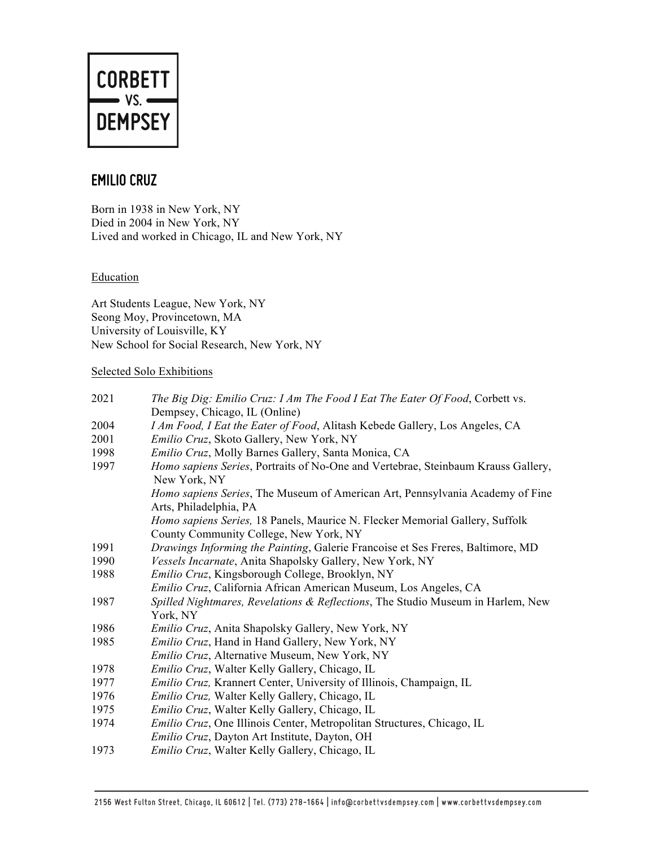

## **EMILIO CRUZ**

Born in 1938 in New York, NY Died in 2004 in New York, NY Lived and worked in Chicago, IL and New York, NY

### Education

Art Students League, New York, NY Seong Moy, Provincetown, MA University of Louisville, KY New School for Social Research, New York, NY

#### Selected Solo Exhibitions

| 2021 | The Big Dig: Emilio Cruz: I Am The Food I Eat The Eater Of Food, Corbett vs.                                           |
|------|------------------------------------------------------------------------------------------------------------------------|
|      | Dempsey, Chicago, IL (Online)                                                                                          |
| 2004 | I Am Food, I Eat the Eater of Food, Alitash Kebede Gallery, Los Angeles, CA                                            |
| 2001 | Emilio Cruz, Skoto Gallery, New York, NY                                                                               |
| 1998 | Emilio Cruz, Molly Barnes Gallery, Santa Monica, CA                                                                    |
| 1997 | Homo sapiens Series, Portraits of No-One and Vertebrae, Steinbaum Krauss Gallery,<br>New York, NY                      |
|      | Homo sapiens Series, The Museum of American Art, Pennsylvania Academy of Fine                                          |
|      | Arts, Philadelphia, PA                                                                                                 |
|      | Homo sapiens Series, 18 Panels, Maurice N. Flecker Memorial Gallery, Suffolk<br>County Community College, New York, NY |
| 1991 | Drawings Informing the Painting, Galerie Francoise et Ses Freres, Baltimore, MD                                        |
| 1990 | Vessels Incarnate, Anita Shapolsky Gallery, New York, NY                                                               |
| 1988 | Emilio Cruz, Kingsborough College, Brooklyn, NY                                                                        |
|      | Emilio Cruz, California African American Museum, Los Angeles, CA                                                       |
| 1987 | Spilled Nightmares, Revelations & Reflections, The Studio Museum in Harlem, New                                        |
|      | York, NY                                                                                                               |
| 1986 | Emilio Cruz, Anita Shapolsky Gallery, New York, NY                                                                     |
| 1985 | Emilio Cruz, Hand in Hand Gallery, New York, NY                                                                        |
|      | Emilio Cruz, Alternative Museum, New York, NY                                                                          |
| 1978 | Emilio Cruz, Walter Kelly Gallery, Chicago, IL                                                                         |
| 1977 | Emilio Cruz, Krannert Center, University of Illinois, Champaign, IL                                                    |
| 1976 | Emilio Cruz, Walter Kelly Gallery, Chicago, IL                                                                         |
| 1975 | Emilio Cruz, Walter Kelly Gallery, Chicago, IL                                                                         |
| 1974 | <i>Emilio Cruz</i> , One Illinois Center, Metropolitan Structures, Chicago, IL                                         |
|      | Emilio Cruz, Dayton Art Institute, Dayton, OH                                                                          |
| 1973 | Emilio Cruz, Walter Kelly Gallery, Chicago, IL                                                                         |
|      |                                                                                                                        |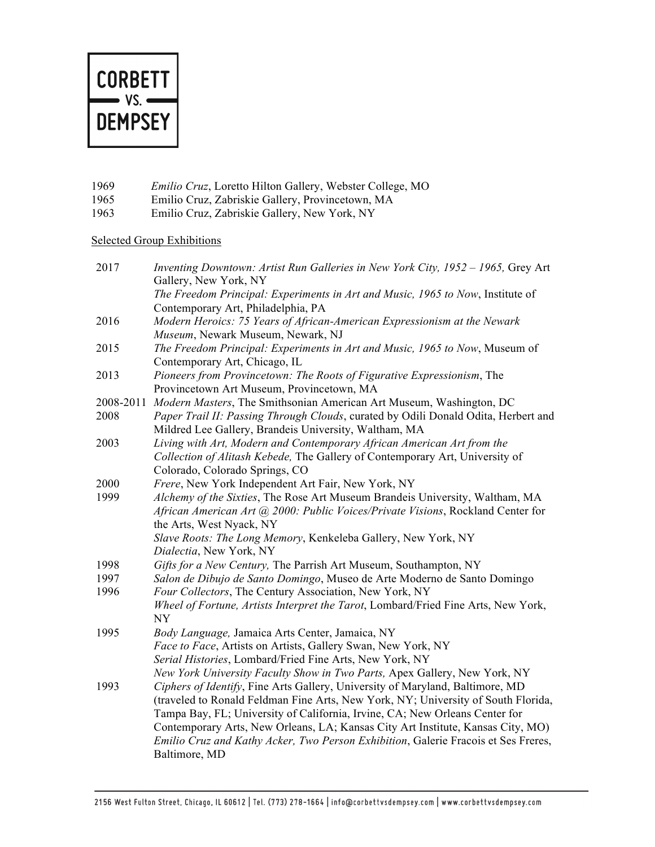

- 1969 *Emilio Cruz*, Loretto Hilton Gallery, Webster College, MO
- 1965 Emilio Cruz, Zabriskie Gallery, Provincetown, MA
- 1963 Emilio Cruz, Zabriskie Gallery, New York, NY

## Selected Group Exhibitions

| 2017      | Inventing Downtown: Artist Run Galleries in New York City, 1952 - 1965, Grey Art<br>Gallery, New York, NY                                                                                                                                         |
|-----------|---------------------------------------------------------------------------------------------------------------------------------------------------------------------------------------------------------------------------------------------------|
|           | The Freedom Principal: Experiments in Art and Music, 1965 to Now, Institute of<br>Contemporary Art, Philadelphia, PA                                                                                                                              |
| 2016      | Modern Heroics: 75 Years of African-American Expressionism at the Newark<br>Museum, Newark Museum, Newark, NJ                                                                                                                                     |
| 2015      | The Freedom Principal: Experiments in Art and Music, 1965 to Now, Museum of<br>Contemporary Art, Chicago, IL                                                                                                                                      |
| 2013      | Pioneers from Provincetown: The Roots of Figurative Expressionism, The<br>Provincetown Art Museum, Provincetown, MA                                                                                                                               |
| 2008-2011 | Modern Masters, The Smithsonian American Art Museum, Washington, DC                                                                                                                                                                               |
| 2008      | Paper Trail II: Passing Through Clouds, curated by Odili Donald Odita, Herbert and<br>Mildred Lee Gallery, Brandeis University, Waltham, MA                                                                                                       |
| 2003      | Living with Art, Modern and Contemporary African American Art from the<br>Collection of Alitash Kebede, The Gallery of Contemporary Art, University of                                                                                            |
|           | Colorado, Colorado Springs, CO                                                                                                                                                                                                                    |
| 2000      | Frere, New York Independent Art Fair, New York, NY                                                                                                                                                                                                |
| 1999      | Alchemy of the Sixties, The Rose Art Museum Brandeis University, Waltham, MA                                                                                                                                                                      |
|           | African American Art @ 2000: Public Voices/Private Visions, Rockland Center for<br>the Arts, West Nyack, NY                                                                                                                                       |
|           | Slave Roots: The Long Memory, Kenkeleba Gallery, New York, NY                                                                                                                                                                                     |
|           | Dialectia, New York, NY                                                                                                                                                                                                                           |
| 1998      | Gifts for a New Century, The Parrish Art Museum, Southampton, NY                                                                                                                                                                                  |
| 1997      | Salon de Dibujo de Santo Domingo, Museo de Arte Moderno de Santo Domingo                                                                                                                                                                          |
| 1996      | Four Collectors, The Century Association, New York, NY                                                                                                                                                                                            |
|           | Wheel of Fortune, Artists Interpret the Tarot, Lombard/Fried Fine Arts, New York,                                                                                                                                                                 |
|           | $\ensuremath{\text{NY}}$                                                                                                                                                                                                                          |
| 1995      | Body Language, Jamaica Arts Center, Jamaica, NY                                                                                                                                                                                                   |
|           | Face to Face, Artists on Artists, Gallery Swan, New York, NY                                                                                                                                                                                      |
|           | Serial Histories, Lombard/Fried Fine Arts, New York, NY                                                                                                                                                                                           |
|           | New York University Faculty Show in Two Parts, Apex Gallery, New York, NY                                                                                                                                                                         |
| 1993      | Ciphers of Identify, Fine Arts Gallery, University of Maryland, Baltimore, MD<br>(traveled to Ronald Feldman Fine Arts, New York, NY; University of South Florida,<br>Tampa Bay, FL; University of California, Irvine, CA; New Orleans Center for |
|           | Contemporary Arts, New Orleans, LA; Kansas City Art Institute, Kansas City, MO)<br>Emilio Cruz and Kathy Acker, Two Person Exhibition, Galerie Fracois et Ses Freres,<br>Baltimore, MD                                                            |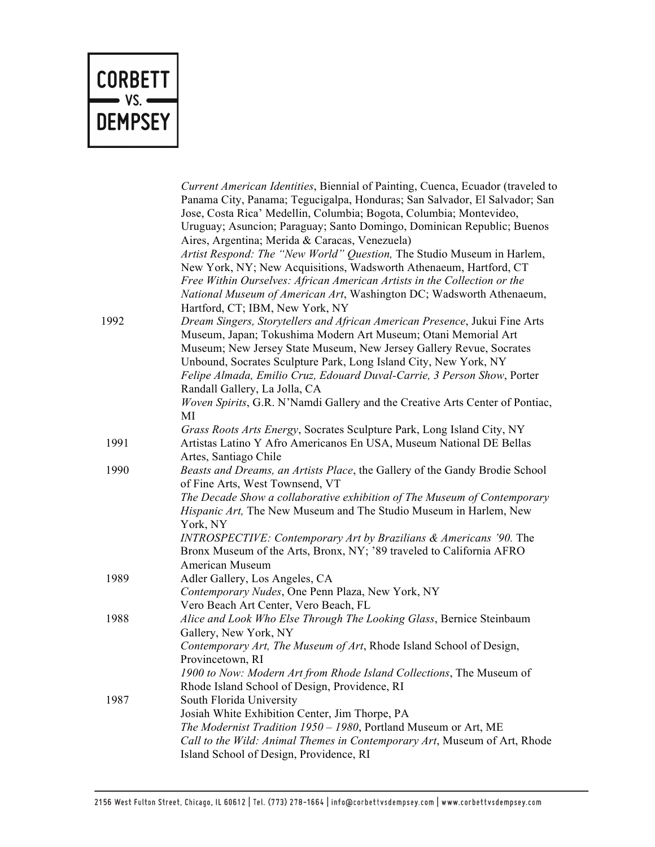# **CORBETT**  $\rightarrow$  VS.  $\rightarrow$ **DEMPSEY**

|      | Current American Identities, Biennial of Painting, Cuenca, Ecuador (traveled to<br>Panama City, Panama; Tegucigalpa, Honduras; San Salvador, El Salvador; San<br>Jose, Costa Rica' Medellin, Columbia; Bogota, Columbia; Montevideo,<br>Uruguay; Asuncion; Paraguay; Santo Domingo, Dominican Republic; Buenos |
|------|----------------------------------------------------------------------------------------------------------------------------------------------------------------------------------------------------------------------------------------------------------------------------------------------------------------|
|      | Aires, Argentina; Merida & Caracas, Venezuela)<br>Artist Respond: The "New World" Question, The Studio Museum in Harlem,<br>New York, NY; New Acquisitions, Wadsworth Athenaeum, Hartford, CT<br>Free Within Ourselves: African American Artists in the Collection or the                                      |
|      | National Museum of American Art, Washington DC; Wadsworth Athenaeum,<br>Hartford, CT; IBM, New York, NY                                                                                                                                                                                                        |
| 1992 | Dream Singers, Storytellers and African American Presence, Jukui Fine Arts                                                                                                                                                                                                                                     |
|      | Museum, Japan; Tokushima Modern Art Museum; Otani Memorial Art                                                                                                                                                                                                                                                 |
|      | Museum; New Jersey State Museum, New Jersey Gallery Revue, Socrates                                                                                                                                                                                                                                            |
|      | Unbound, Socrates Sculpture Park, Long Island City, New York, NY                                                                                                                                                                                                                                               |
|      | Felipe Almada, Emilio Cruz, Edouard Duval-Carrie, 3 Person Show, Porter                                                                                                                                                                                                                                        |
|      | Randall Gallery, La Jolla, CA                                                                                                                                                                                                                                                                                  |
|      | Woven Spirits, G.R. N'Namdi Gallery and the Creative Arts Center of Pontiac,<br>MI                                                                                                                                                                                                                             |
|      | Grass Roots Arts Energy, Socrates Sculpture Park, Long Island City, NY                                                                                                                                                                                                                                         |
| 1991 | Artistas Latino Y Afro Americanos En USA, Museum National DE Bellas<br>Artes, Santiago Chile                                                                                                                                                                                                                   |
| 1990 | Beasts and Dreams, an Artists Place, the Gallery of the Gandy Brodie School<br>of Fine Arts, West Townsend, VT                                                                                                                                                                                                 |
|      | The Decade Show a collaborative exhibition of The Museum of Contemporary<br>Hispanic Art, The New Museum and The Studio Museum in Harlem, New<br>York, NY                                                                                                                                                      |
|      | INTROSPECTIVE: Contemporary Art by Brazilians & Americans '90. The<br>Bronx Museum of the Arts, Bronx, NY; '89 traveled to California AFRO<br><b>American Museum</b>                                                                                                                                           |
| 1989 | Adler Gallery, Los Angeles, CA                                                                                                                                                                                                                                                                                 |
|      | Contemporary Nudes, One Penn Plaza, New York, NY                                                                                                                                                                                                                                                               |
|      | Vero Beach Art Center, Vero Beach, FL                                                                                                                                                                                                                                                                          |
| 1988 | Alice and Look Who Else Through The Looking Glass, Bernice Steinbaum<br>Gallery, New York, NY                                                                                                                                                                                                                  |
|      | Contemporary Art, The Museum of Art, Rhode Island School of Design,<br>Provincetown, RI                                                                                                                                                                                                                        |
|      | 1900 to Now: Modern Art from Rhode Island Collections, The Museum of<br>Rhode Island School of Design, Providence, RI                                                                                                                                                                                          |
| 1987 | South Florida University                                                                                                                                                                                                                                                                                       |
|      | Josiah White Exhibition Center, Jim Thorpe, PA                                                                                                                                                                                                                                                                 |
|      | The Modernist Tradition 1950 - 1980, Portland Museum or Art, ME                                                                                                                                                                                                                                                |
|      | Call to the Wild: Animal Themes in Contemporary Art, Museum of Art, Rhode<br>Island School of Design, Providence, RI                                                                                                                                                                                           |
|      |                                                                                                                                                                                                                                                                                                                |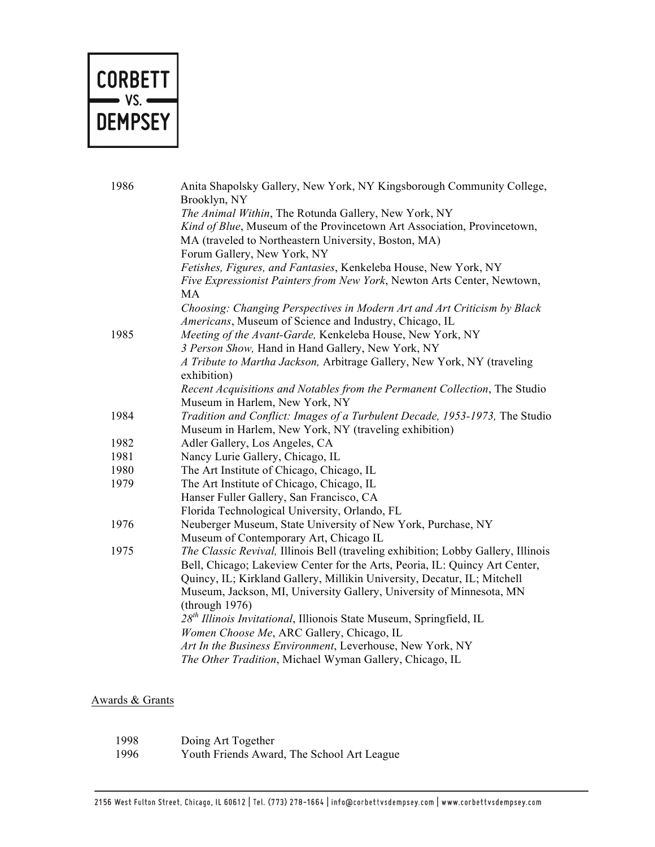

| 1986 | Anita Shapolsky Gallery, New York, NY Kingsborough Community College,             |
|------|-----------------------------------------------------------------------------------|
|      | Brooklyn, NY                                                                      |
|      | The Animal Within, The Rotunda Gallery, New York, NY                              |
|      | Kind of Blue, Museum of the Provincetown Art Association, Provincetown,           |
|      | MA (traveled to Northeastern University, Boston, MA)                              |
|      | Forum Gallery, New York, NY                                                       |
|      | Fetishes, Figures, and Fantasies, Kenkeleba House, New York, NY                   |
|      | Five Expressionist Painters from New York, Newton Arts Center, Newtown,<br>MA     |
|      | Choosing: Changing Perspectives in Modern Art and Art Criticism by Black          |
|      | Americans, Museum of Science and Industry, Chicago, IL                            |
| 1985 | Meeting of the Avant-Garde, Kenkeleba House, New York, NY                         |
|      | 3 Person Show, Hand in Hand Gallery, New York, NY                                 |
|      | A Tribute to Martha Jackson, Arbitrage Gallery, New York, NY (traveling           |
|      | exhibition)                                                                       |
|      | Recent Acquisitions and Notables from the Permanent Collection, The Studio        |
|      | Museum in Harlem, New York, NY                                                    |
| 1984 | Tradition and Conflict: Images of a Turbulent Decade, 1953-1973, The Studio       |
|      | Museum in Harlem, New York, NY (traveling exhibition)                             |
| 1982 | Adler Gallery, Los Angeles, CA                                                    |
| 1981 | Nancy Lurie Gallery, Chicago, IL                                                  |
| 1980 | The Art Institute of Chicago, Chicago, IL                                         |
| 1979 | The Art Institute of Chicago, Chicago, IL                                         |
|      | Hanser Fuller Gallery, San Francisco, CA                                          |
|      | Florida Technological University, Orlando, FL                                     |
| 1976 | Neuberger Museum, State University of New York, Purchase, NY                      |
|      | Museum of Contemporary Art, Chicago IL                                            |
| 1975 | The Classic Revival, Illinois Bell (traveling exhibition; Lobby Gallery, Illinois |
|      | Bell, Chicago; Lakeview Center for the Arts, Peoria, IL: Quincy Art Center,       |
|      | Quincy, IL; Kirkland Gallery, Millikin University, Decatur, IL; Mitchell          |
|      | Museum, Jackson, MI, University Gallery, University of Minnesota, MN              |
|      | (through 1976)                                                                    |
|      | 28 <sup>th</sup> Illinois Invitational, Illionois State Museum, Springfield, IL   |
|      | Women Choose Me, ARC Gallery, Chicago, IL                                         |
|      | Art In the Business Environment, Leverhouse, New York, NY                         |
|      | The Other Tradition, Michael Wyman Gallery, Chicago, IL                           |

## Awards & Grants

| 1998 | Doing Art Together |
|------|--------------------|
|------|--------------------|

1996 Youth Friends Award, The School Art League